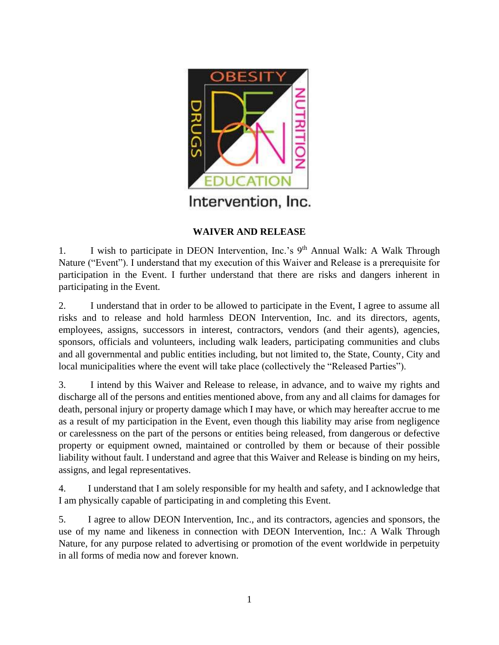

## **WAIVER AND RELEASE**

1. I wish to participate in DEON Intervention, Inc.'s  $9<sup>th</sup>$  Annual Walk: A Walk Through Nature ("Event"). I understand that my execution of this Waiver and Release is a prerequisite for participation in the Event. I further understand that there are risks and dangers inherent in participating in the Event.

2. I understand that in order to be allowed to participate in the Event, I agree to assume all risks and to release and hold harmless DEON Intervention, Inc. and its directors, agents, employees, assigns, successors in interest, contractors, vendors (and their agents), agencies, sponsors, officials and volunteers, including walk leaders, participating communities and clubs and all governmental and public entities including, but not limited to, the State, County, City and local municipalities where the event will take place (collectively the "Released Parties").

3. I intend by this Waiver and Release to release, in advance, and to waive my rights and discharge all of the persons and entities mentioned above, from any and all claims for damages for death, personal injury or property damage which I may have, or which may hereafter accrue to me as a result of my participation in the Event, even though this liability may arise from negligence or carelessness on the part of the persons or entities being released, from dangerous or defective property or equipment owned, maintained or controlled by them or because of their possible liability without fault. I understand and agree that this Waiver and Release is binding on my heirs, assigns, and legal representatives.

4. I understand that I am solely responsible for my health and safety, and I acknowledge that I am physically capable of participating in and completing this Event.

5. I agree to allow DEON Intervention, Inc., and its contractors, agencies and sponsors, the use of my name and likeness in connection with DEON Intervention, Inc.: A Walk Through Nature, for any purpose related to advertising or promotion of the event worldwide in perpetuity in all forms of media now and forever known.